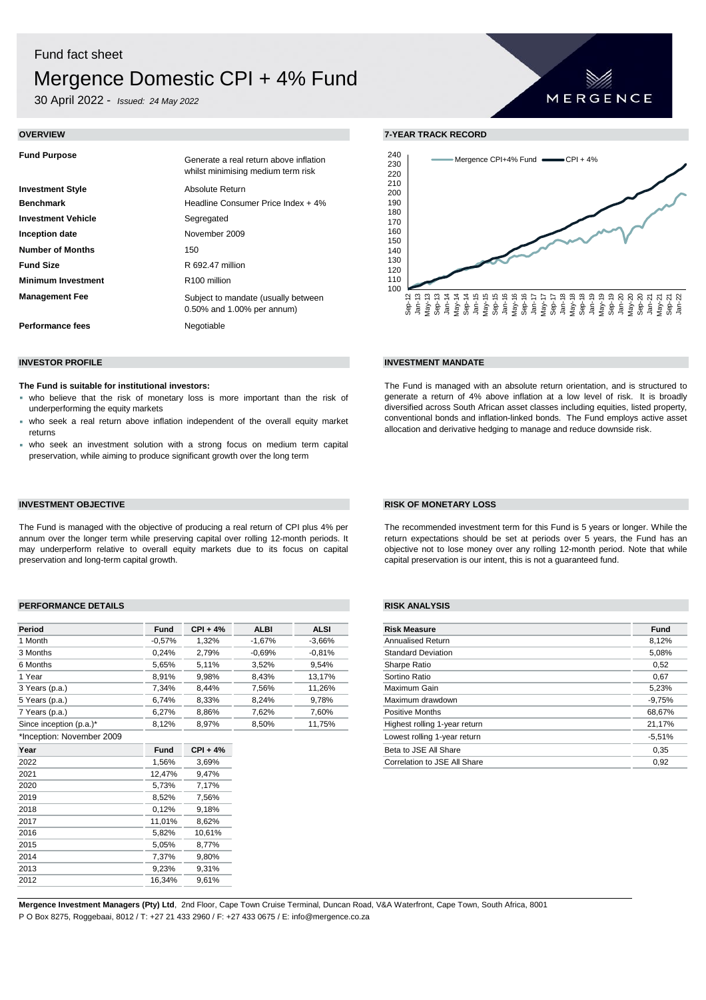# Fund fact sheet Mergence Domestic CPI + 4% Fund

30 April 2022 - *Issued: 24 May 2022*

| <b>Fund Purpose</b>       | Generate a real return above inflation<br>whilst minimising medium term risk |
|---------------------------|------------------------------------------------------------------------------|
| <b>Investment Style</b>   | Absolute Return                                                              |
| <b>Benchmark</b>          | Headline Consumer Price Index + 4%                                           |
| <b>Investment Vehicle</b> | Segregated                                                                   |
| Inception date            | November 2009                                                                |
| <b>Number of Months</b>   | 150                                                                          |
| <b>Fund Size</b>          | R 692.47 million                                                             |
| <b>Minimum Investment</b> | R <sub>100</sub> million                                                     |
| <b>Management Fee</b>     | Subject to mandate (usually between<br>$0.50\%$ and 1.00% per annum)         |
| Performance fees          | Negotiable                                                                   |

### **The Fund is suitable for institutional investors:**

- who believe that the risk of monetary loss is more important than the risk of underperforming the equity markets
- who seek a real return above inflation independent of the overall equity market returns
- who seek an investment solution with a strong focus on medium term capital preservation, while aiming to produce significant growth over the long term

# **INVESTMENT OBJECTIVE RISK OF MONETARY LOSS**

The Fund is managed with the objective of producing a real return of CPI plus 4% per annum over the longer term while preserving capital over rolling 12-month periods. It may underperform relative to overall equity markets due to its focus on capital preservation and long-term capital growth.

## **PERFORMANCE DETAILS RISK ANALYSIS**

| Period                    | <b>Fund</b>                                         | $CPI + 4%$ | <b>ALBI</b> | <b>ALSI</b>                             | <b>Risk Measure</b>          | <b>Fund</b> |
|---------------------------|-----------------------------------------------------|------------|-------------|-----------------------------------------|------------------------------|-------------|
| 1 Month                   | $-0,57%$                                            | 1,32%      | $-1,67%$    | $-3,66%$                                | Annualised Return            | 8,12%       |
| 3 Months                  | 0,24%                                               | 2,79%      | $-0.69%$    | $-0.81%$                                | <b>Standard Deviation</b>    | 5,08%       |
| 6 Months                  | 5,65%                                               | 5,11%      | 3,52%       | 9,54%                                   | Sharpe Ratio                 | 0,52        |
| 1 Year                    | 8,91%                                               | 9,98%      | 8,43%       | 13,17%                                  | Sortino Ratio                | 0.67        |
| 3 Years (p.a.)            | 7,34%                                               | 8,44%      | 7,56%       | 11,26%                                  | Maximum Gain                 | 5,23%       |
| 5 Years (p.a.)            | 6,74%                                               | 8,33%      | 8,24%       | 9,78%                                   | Maximum drawdown             | $-9,75%$    |
| 7 Years (p.a.)            | 7,60%<br>Positive Months<br>6,27%<br>8,86%<br>7,62% |            |             | 68,67%                                  |                              |             |
| Since inception (p.a.)*   | 8,12%                                               | 8,97%      | 8,50%       | 11,75%<br>Highest rolling 1-year return |                              | 21,17%      |
| *Inception: November 2009 |                                                     |            |             |                                         | Lowest rolling 1-year return | $-5,51%$    |
| Year                      | <b>Fund</b>                                         | $CPI + 4%$ |             |                                         | Beta to JSE All Share        | 0,35        |
| 2022                      | 1,56%                                               | 3,69%      |             |                                         | Correlation to JSE All Share | 0,92        |
| 2021                      | 12,47%                                              | 9,47%      |             |                                         |                              |             |
| 2020                      | 5,73%                                               | 7,17%      |             |                                         |                              |             |
| 2019                      | 8,52%                                               | 7,56%      |             |                                         |                              |             |
| 2018                      | 0,12%                                               | 9,18%      |             |                                         |                              |             |
| 2017                      | 11,01%                                              | 8,62%      |             |                                         |                              |             |
| 2016                      | 5,82%                                               | 10,61%     |             |                                         |                              |             |
| 2015                      | 5,05%                                               | 8,77%      |             |                                         |                              |             |
| 2014                      | 7,37%                                               | 9,80%      |             |                                         |                              |             |
| 2013                      | 9,23%                                               | 9,31%      |             |                                         |                              |             |
| 2012                      | 16,34%                                              | 9,61%      |             |                                         |                              |             |

**OVERVIEW 7-YEAR TRACK RECORD**



MERGENCE

# **INVESTOR PROFILE INVESTMENT MANDATE**

The Fund is managed with an absolute return orientation, and is structured to generate a return of 4% above inflation at a low level of risk. It is broadly diversified across South African asset classes including equities, listed property, conventional bonds and inflation-linked bonds. The Fund employs active asset allocation and derivative hedging to manage and reduce downside risk.

The recommended investment term for this Fund is 5 years or longer. While the return expectations should be set at periods over 5 years, the Fund has an objective not to lose money over any rolling 12-month period. Note that while capital preservation is our intent, this is not a guaranteed fund.

| <b>Risk Measure</b>           | <b>Fund</b> |
|-------------------------------|-------------|
| <b>Annualised Return</b>      | 8,12%       |
| <b>Standard Deviation</b>     | 5,08%       |
| Sharpe Ratio                  | 0,52        |
| Sortino Ratio                 | 0,67        |
| Maximum Gain                  | 5,23%       |
| Maximum drawdown              | $-9.75%$    |
| <b>Positive Months</b>        | 68,67%      |
| Highest rolling 1-year return | 21,17%      |
| Lowest rolling 1-year return  | $-5.51%$    |
| Beta to JSE All Share         | 0,35        |
| Correlation to JSE All Share  | 0.92        |

**Mergence Investment Managers (Pty) Ltd**, 2nd Floor, Cape Town Cruise Terminal, Duncan Road, V&A Waterfront, Cape Town, South Africa, 8001 P O Box 8275, Roggebaai, 8012 / T: +27 21 433 2960 / F: +27 433 0675 / E: info@mergence.co.za